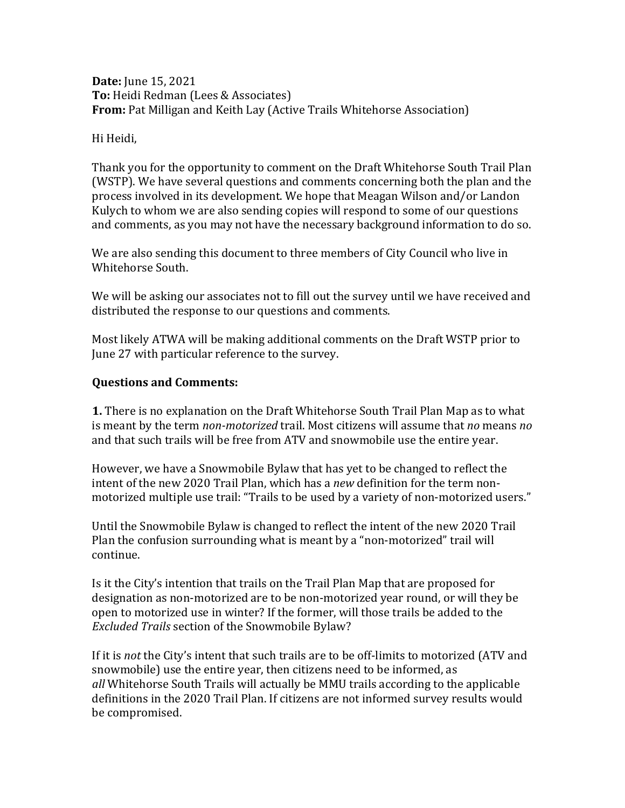### **Date:** June 15, 2021 **To:** Heidi Redman (Lees & Associates) **From:** Pat Milligan and Keith Lay (Active Trails Whitehorse Association)

### Hi Heidi,

Thank you for the opportunity to comment on the Draft Whitehorse South Trail Plan (WSTP). We have several questions and comments concerning both the plan and the process involved in its development. We hope that Meagan Wilson and/or Landon Kulych to whom we are also sending copies will respond to some of our questions and comments, as you may not have the necessary background information to do so.

We are also sending this document to three members of City Council who live in Whitehorse South.

We will be asking our associates not to fill out the survey until we have received and distributed the response to our questions and comments.

Most likely ATWA will be making additional comments on the Draft WSTP prior to June 27 with particular reference to the survey.

## **Questions and Comments:**

**1.** There is no explanation on the Draft Whitehorse South Trail Plan Map as to what is meant by the term *non-motorized* trail. Most citizens will assume that *no* means *no* and that such trails will be free from ATV and snowmobile use the entire year.

However, we have a Snowmobile Bylaw that has yet to be changed to reflect the intent of the new 2020 Trail Plan, which has a *new* definition for the term nonmotorized multiple use trail: "Trails to be used by a variety of non-motorized users."

Until the Snowmobile Bylaw is changed to reflect the intent of the new 2020 Trail Plan the confusion surrounding what is meant by a "non-motorized" trail will continue.

Is it the City's intention that trails on the Trail Plan Map that are proposed for designation as non-motorized are to be non-motorized year round, or will they be open to motorized use in winter? If the former, will those trails be added to the *Excluded Trails* section of the Snowmobile Bylaw?

If it is *not* the City's intent that such trails are to be off-limits to motorized (ATV and snowmobile) use the entire year, then citizens need to be informed, as *all* Whitehorse South Trails will actually be MMU trails according to the applicable definitions in the 2020 Trail Plan. If citizens are not informed survey results would be compromised.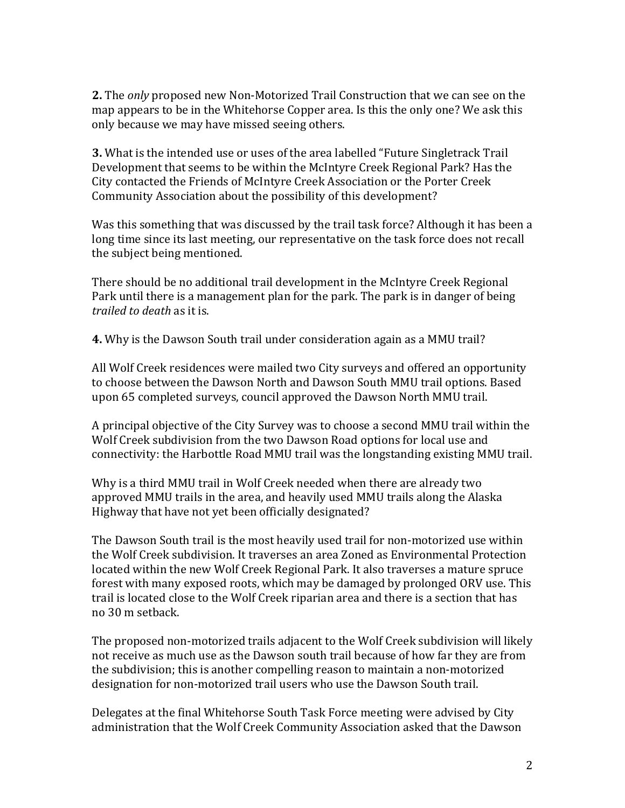**2.** The *only* proposed new Non-Motorized Trail Construction that we can see on the map appears to be in the Whitehorse Copper area. Is this the only one? We ask this only because we may have missed seeing others.

**3.** What is the intended use or uses of the area labelled "Future Singletrack Trail Development that seems to be within the McIntyre Creek Regional Park? Has the City contacted the Friends of McIntyre Creek Association or the Porter Creek Community Association about the possibility of this development?

Was this something that was discussed by the trail task force? Although it has been a long time since its last meeting, our representative on the task force does not recall the subject being mentioned.

There should be no additional trail development in the McIntyre Creek Regional Park until there is a management plan for the park. The park is in danger of being *trailed to death* as it is.

**4.** Why is the Dawson South trail under consideration again as a MMU trail?

All Wolf Creek residences were mailed two City surveys and offered an opportunity to choose between the Dawson North and Dawson South MMU trail options. Based upon 65 completed surveys, council approved the Dawson North MMU trail.

A principal objective of the City Survey was to choose a second MMU trail within the Wolf Creek subdivision from the two Dawson Road options for local use and connectivity: the Harbottle Road MMU trail was the longstanding existing MMU trail.

Why is a third MMU trail in Wolf Creek needed when there are already two approved MMU trails in the area, and heavily used MMU trails along the Alaska Highway that have not vet been officially designated?

The Dawson South trail is the most heavily used trail for non-motorized use within the Wolf Creek subdivision. It traverses an area Zoned as Environmental Protection located within the new Wolf Creek Regional Park. It also traverses a mature spruce forest with many exposed roots, which may be damaged by prolonged ORV use. This trail is located close to the Wolf Creek riparian area and there is a section that has no 30 m setback. 

The proposed non-motorized trails adjacent to the Wolf Creek subdivision will likely not receive as much use as the Dawson south trail because of how far they are from the subdivision; this is another compelling reason to maintain a non-motorized designation for non-motorized trail users who use the Dawson South trail.

Delegates at the final Whitehorse South Task Force meeting were advised by City administration that the Wolf Creek Community Association asked that the Dawson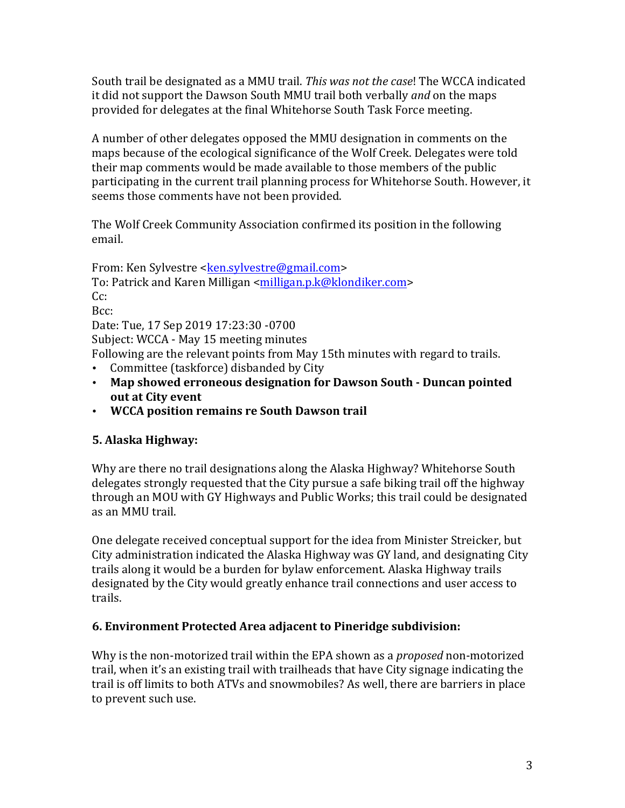South trail be designated as a MMU trail. *This was not the case*! The WCCA indicated it did not support the Dawson South MMU trail both verbally *and* on the maps provided for delegates at the final Whitehorse South Task Force meeting.

A number of other delegates opposed the MMU designation in comments on the maps because of the ecological significance of the Wolf Creek. Delegates were told their map comments would be made available to those members of the public participating in the current trail planning process for Whitehorse South. However, it seems those comments have not been provided.

The Wolf Creek Community Association confirmed its position in the following email.

From: Ken Sylvestre <ken.sylvestre@gmail.com> To: Patrick and Karen Milligan <milligan.p.k@klondiker.com> Cc: Bcc: Date: Tue, 17 Sep 2019 17:23:30 -0700 Subject: WCCA - May 15 meeting minutes Following are the relevant points from May 15th minutes with regard to trails. • Committee (taskforce) disbanded by City • Map showed erroneous designation for Dawson South - Duncan pointed

- **out at City event**
- **WCCA position remains re South Dawson trail**

# **5. Alaska Highway:**

Why are there no trail designations along the Alaska Highway? Whitehorse South delegates strongly requested that the City pursue a safe biking trail off the highway through an MOU with GY Highways and Public Works; this trail could be designated as an MMU trail.

One delegate received conceptual support for the idea from Minister Streicker, but City administration indicated the Alaska Highway was GY land, and designating City trails along it would be a burden for bylaw enforcement. Alaska Highway trails designated by the City would greatly enhance trail connections and user access to trails.

# **6. Environment Protected Area adjacent to Pineridge subdivision:**

Why is the non-motorized trail within the EPA shown as a *proposed* non-motorized trail, when it's an existing trail with trailheads that have City signage indicating the trail is off limits to both ATVs and snowmobiles? As well, there are barriers in place to prevent such use.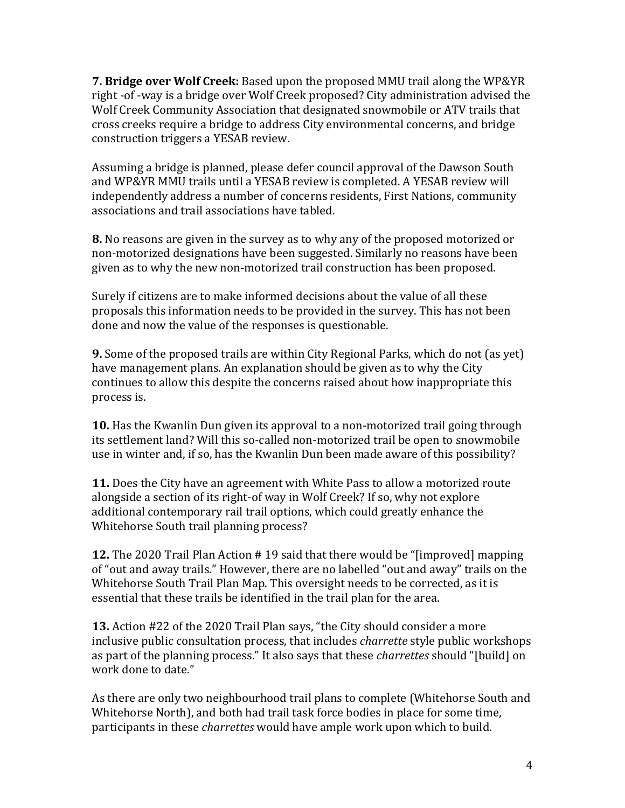**7. Bridge over Wolf Creek:** Based upon the proposed MMU trail along the WP&YR right -of -way is a bridge over Wolf Creek proposed? City administration advised the Wolf Creek Community Association that designated snowmobile or ATV trails that cross creeks require a bridge to address City environmental concerns, and bridge construction triggers a YESAB review.

Assuming a bridge is planned, please defer council approval of the Dawson South and WP&YR MMU trails until a YESAB review is completed. A YESAB review will independently address a number of concerns residents, First Nations, community associations and trail associations have tabled.

**8.** No reasons are given in the survey as to why any of the proposed motorized or non-motorized designations have been suggested. Similarly no reasons have been given as to why the new non-motorized trail construction has been proposed.

Surely if citizens are to make informed decisions about the value of all these proposals this information needs to be provided in the survey. This has not been done and now the value of the responses is questionable.

**9.** Some of the proposed trails are within City Regional Parks, which do not (as yet) have management plans. An explanation should be given as to why the City continues to allow this despite the concerns raised about how inappropriate this process is. 

**10.** Has the Kwanlin Dun given its approval to a non-motorized trail going through its settlement land? Will this so-called non-motorized trail be open to snowmobile use in winter and, if so, has the Kwanlin Dun been made aware of this possibility?

**11.** Does the City have an agreement with White Pass to allow a motorized route alongside a section of its right-of way in Wolf Creek? If so, why not explore additional contemporary rail trail options, which could greatly enhance the Whitehorse South trail planning process?

**12.** The 2020 Trail Plan Action # 19 said that there would be "[improved] mapping of "out and away trails." However, there are no labelled "out and away" trails on the Whitehorse South Trail Plan Map. This oversight needs to be corrected, as it is essential that these trails be identified in the trail plan for the area.

**13.** Action #22 of the 2020 Trail Plan says, "the City should consider a more inclusive public consultation process, that includes *charrette* style public workshops as part of the planning process." It also says that these *charrettes* should "[build] on work done to date."

As there are only two neighbourhood trail plans to complete (Whitehorse South and Whitehorse North), and both had trail task force bodies in place for some time, participants in these *charrettes* would have ample work upon which to build.